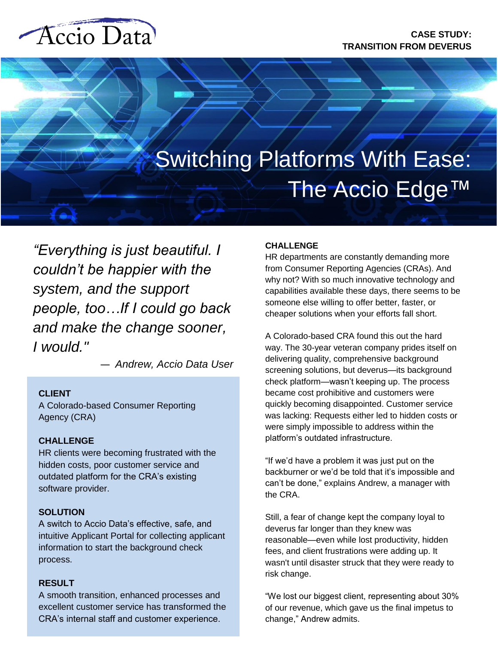# Accio Data



*"Everything is just beautiful. I couldn't be happier with the system, and the support people, too…If I could go back and make the change sooner, I would."*

— *Andrew, Accio Data User*

# **CLIENT**

A Colorado-based Consumer Reporting Agency (CRA)

# **CHALLENGE**

HR clients were becoming frustrated with the hidden costs, poor customer service and outdated platform for the CRA's existing software provider.

# **SOLUTION**

A switch to Accio Data's effective, safe, and intuitive Applicant Portal for collecting applicant information to start the background check process.

# **RESULT**

A smooth transition, enhanced processes and excellent customer service has transformed the CRA's internal staff and customer experience.

# **CHALLENGE**

HR departments are constantly demanding more from Consumer Reporting Agencies (CRAs). And why not? With so much innovative technology and capabilities available these days, there seems to be someone else willing to offer better, faster, or cheaper solutions when your efforts fall short.

A Colorado-based CRA found this out the hard way. The 30-year veteran company prides itself on delivering quality, comprehensive background screening solutions, but deverus—its background check platform—wasn't keeping up. The process became cost prohibitive and customers were quickly becoming disappointed. Customer service was lacking: Requests either led to hidden costs or were simply impossible to address within the platform's outdated infrastructure.

"If we'd have a problem it was just put on the backburner or we'd be told that it's impossible and can't be done," explains Andrew, a manager with the CRA.

Still, a fear of change kept the company loyal to deverus far longer than they knew was reasonable—even while lost productivity, hidden fees, and client frustrations were adding up. It wasn't until disaster struck that they were ready to risk change.

"We lost our biggest client, representing about 30% of our revenue, which gave us the final impetus to change," Andrew admits.